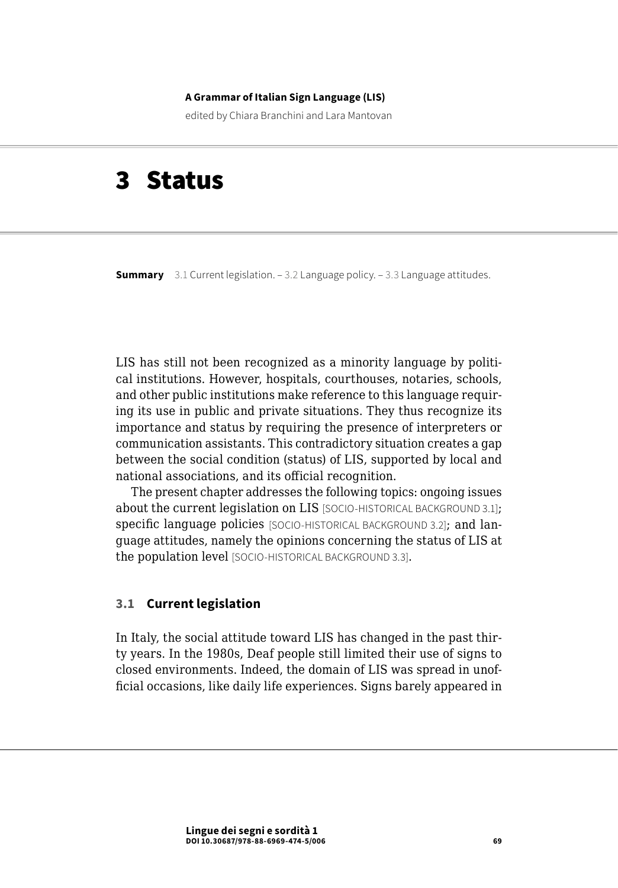#### **A Grammar of Italian Sign Language (LIS)**

edited by Chiara Branchini and Lara Mantovan

# 3 Status

**Summary** 3.1 Current legislation. [– 3.2 Language policy](#page-4-0). – [3.3 Language attitudes.](#page-11-0)

LIS has still not been recognized as a minority language by political institutions. However, hospitals, courthouses, notaries, schools, and other public institutions make reference to this language requiring its use in public and private situations. They thus recognize its importance and status by requiring the presence of interpreters or communication assistants. This contradictory situation creates a gap between the social condition (status) of LIS, supported by local and national associations, and its official recognition.

The present chapter addresses the following topics: ongoing issues about the current legislation on LIS [SOCIO-HISTORICAL BACKGROUND 3.1]; specific language policies [SOCIO-HISTORICAL BACKGROUND 3.2]; and language attitudes, namely the opinions concerning the status of LIS at the population level [SOCIO-HISTORICAL BACKGROUND 3.3].

## **3.1 Current legislation**

In Italy, the social attitude toward LIS has changed in the past thirty years. In the 1980s, Deaf people still limited their use of signs to closed environments. Indeed, the domain of LIS was spread in unofficial occasions, like daily life experiences. Signs barely appeared in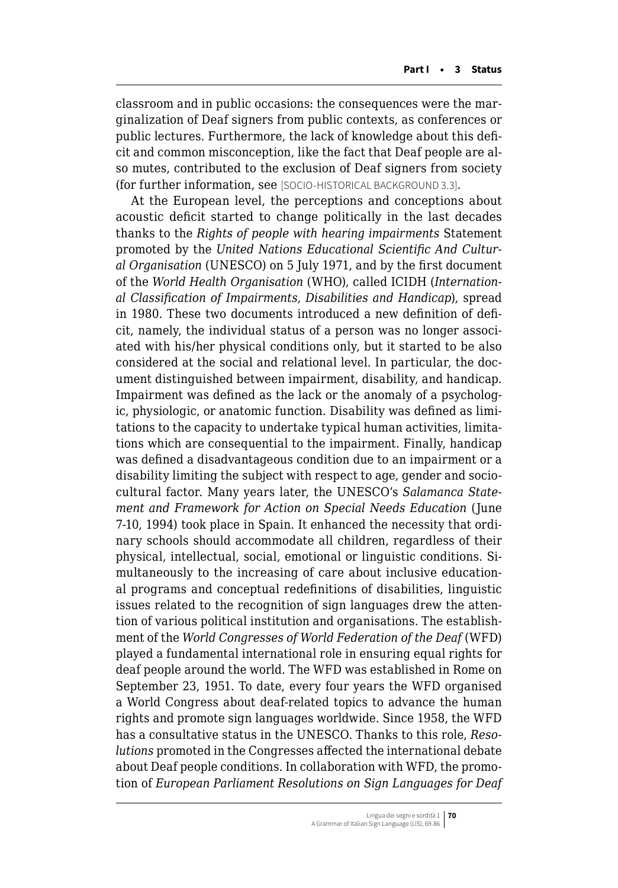classroom and in public occasions: the consequences were the marginalization of Deaf signers from public contexts, as conferences or public lectures. Furthermore, the lack of knowledge about this deficit and common misconception, like the fact that Deaf people are also mutes, contributed to the exclusion of Deaf signers from society (for further information, see [SOCIO-HISTORICAL BACKGROUND 3.3].

At the European level, the perceptions and conceptions about acoustic deficit started to change politically in the last decades thanks to the *Rights of people with hearing impairments* Statement promoted by the *United Nations Educational Scientific And Cultural Organisation* (UNESCO) on 5 July 1971, and by the first document of the *World Health Organisation* (WHO), called ICIDH (*International Classification of Impairments, Disabilities and Handicap*), spread in 1980. These two documents introduced a new definition of deficit, namely, the individual status of a person was no longer associated with his/her physical conditions only, but it started to be also considered at the social and relational level. In particular, the document distinguished between impairment, disability, and handicap. Impairment was defined as the lack or the anomaly of a psychologic, physiologic, or anatomic function. Disability was defined as limitations to the capacity to undertake typical human activities, limitations which are consequential to the impairment. Finally, handicap was defined a disadvantageous condition due to an impairment or a disability limiting the subject with respect to age, gender and sociocultural factor. Many years later, the UNESCO's *Salamanca Statement and Framework for Action on Special Needs Education* (June 7-10, 1994) took place in Spain. It enhanced the necessity that ordinary schools should accommodate all children, regardless of their physical, intellectual, social, emotional or linguistic conditions. Simultaneously to the increasing of care about inclusive educational programs and conceptual redefinitions of disabilities, linguistic issues related to the recognition of sign languages drew the attention of various political institution and organisations. The establishment of the *World Congresses of World Federation of the Deaf* (WFD) played a fundamental international role in ensuring equal rights for deaf people around the world. The WFD was established in Rome on September 23, 1951. To date, every four years the WFD organised a World Congress about deaf-related topics to advance the human rights and promote sign languages worldwide. Since 1958, the WFD has a consultative status in the UNESCO. Thanks to this role, *Resolutions* promoted in the Congresses affected the international debate about Deaf people conditions. In collaboration with WFD, the promotion of *European Parliament Resolutions on Sign Languages for Deaf*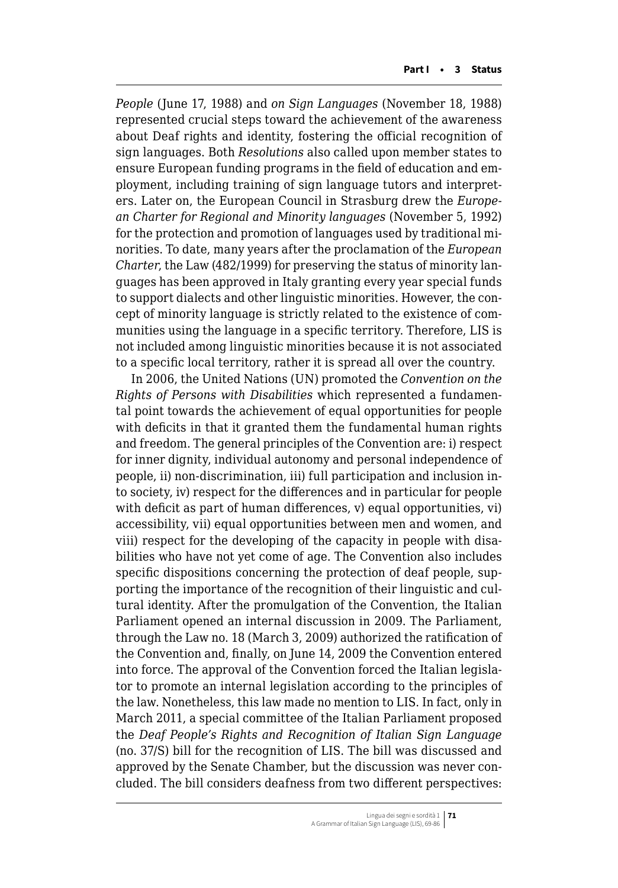*People* (June 17, 1988) and *on Sign Languages* (November 18, 1988) represented crucial steps toward the achievement of the awareness about Deaf rights and identity, fostering the official recognition of sign languages. Both *Resolutions* also called upon member states to ensure European funding programs in the field of education and employment, including training of sign language tutors and interpreters. Later on, the European Council in Strasburg drew the *European Charter for Regional and Minority languages* (November 5, 1992) for the protection and promotion of languages used by traditional minorities. To date, many years after the proclamation of the *European Charter*, the Law (482/1999) for preserving the status of minority languages has been approved in Italy granting every year special funds to support dialects and other linguistic minorities. However, the concept of minority language is strictly related to the existence of communities using the language in a specific territory. Therefore, LIS is not included among linguistic minorities because it is not associated to a specific local territory, rather it is spread all over the country.

In 2006, the United Nations (UN) promoted the *Convention on the Rights of Persons with Disabilities* which represented a fundamental point towards the achievement of equal opportunities for people with deficits in that it granted them the fundamental human rights and freedom. The general principles of the Convention are: i) respect for inner dignity, individual autonomy and personal independence of people, ii) non-discrimination, iii) full participation and inclusion into society, iv) respect for the differences and in particular for people with deficit as part of human differences, v) equal opportunities, vi) accessibility, vii) equal opportunities between men and women, and viii) respect for the developing of the capacity in people with disabilities who have not yet come of age. The Convention also includes specific dispositions concerning the protection of deaf people, supporting the importance of the recognition of their linguistic and cultural identity. After the promulgation of the Convention, the Italian Parliament opened an internal discussion in 2009. The Parliament, through the Law no. 18 (March 3, 2009) authorized the ratification of the Convention and, finally, on June 14, 2009 the Convention entered into force. The approval of the Convention forced the Italian legislator to promote an internal legislation according to the principles of the law. Nonetheless, this law made no mention to LIS. In fact, only in March 2011, a special committee of the Italian Parliament proposed the *Deaf People's Rights and Recognition of Italian Sign Language* (no. 37/S) bill for the recognition of LIS. The bill was discussed and approved by the Senate Chamber, but the discussion was never concluded. The bill considers deafness from two different perspectives: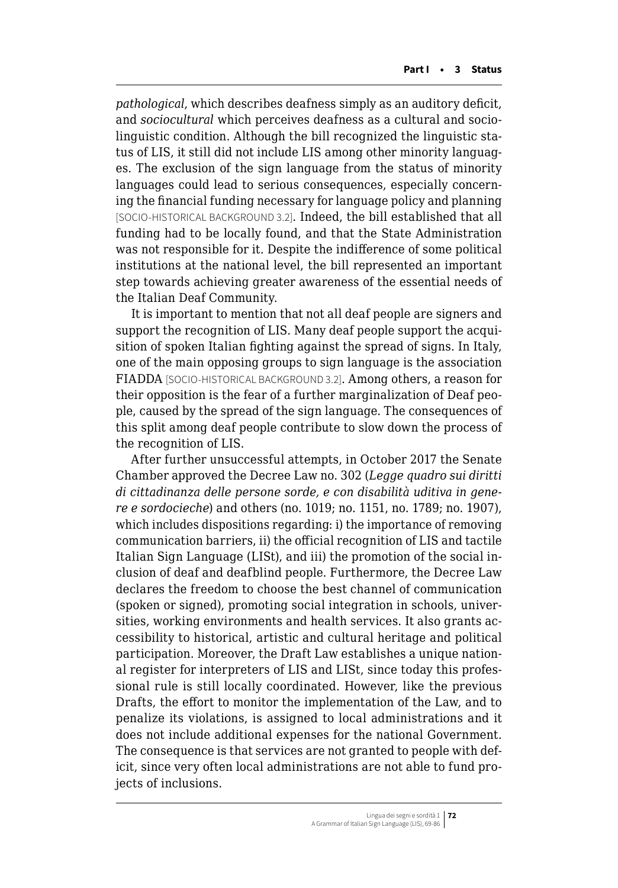*pathological*, which describes deafness simply as an auditory deficit, and *sociocultural* which perceives deafness as a cultural and sociolinguistic condition. Although the bill recognized the linguistic status of LIS, it still did not include LIS among other minority languages. The exclusion of the sign language from the status of minority languages could lead to serious consequences, especially concerning the financial funding necessary for language policy and planning [SOCIO-HISTORICAL BACKGROUND 3.2]. Indeed, the bill established that all funding had to be locally found, and that the State Administration was not responsible for it. Despite the indifference of some political institutions at the national level, the bill represented an important step towards achieving greater awareness of the essential needs of the Italian Deaf Community.

It is important to mention that not all deaf people are signers and support the recognition of LIS. Many deaf people support the acquisition of spoken Italian fighting against the spread of signs. In Italy, one of the main opposing groups to sign language is the association FIADDA [SOCIO-HISTORICAL BACKGROUND 3.2]. Among others, a reason for their opposition is the fear of a further marginalization of Deaf people, caused by the spread of the sign language. The consequences of this split among deaf people contribute to slow down the process of the recognition of LIS.

After further unsuccessful attempts, in October 2017 the Senate Chamber approved the Decree Law no. 302 (*Legge quadro sui diritti di cittadinanza delle persone sorde, e con disabilità uditiva in genere e sordocieche*) and others (no. 1019; no. 1151, no. 1789; no. 1907), which includes dispositions regarding: i) the importance of removing communication barriers, ii) the official recognition of LIS and tactile Italian Sign Language (LISt), and iii) the promotion of the social inclusion of deaf and deafblind people. Furthermore, the Decree Law declares the freedom to choose the best channel of communication (spoken or signed), promoting social integration in schools, universities, working environments and health services. It also grants accessibility to historical, artistic and cultural heritage and political participation. Moreover, the Draft Law establishes a unique national register for interpreters of LIS and LISt, since today this professional rule is still locally coordinated. However, like the previous Drafts, the effort to monitor the implementation of the Law, and to penalize its violations, is assigned to local administrations and it does not include additional expenses for the national Government. The consequence is that services are not granted to people with deficit, since very often local administrations are not able to fund projects of inclusions.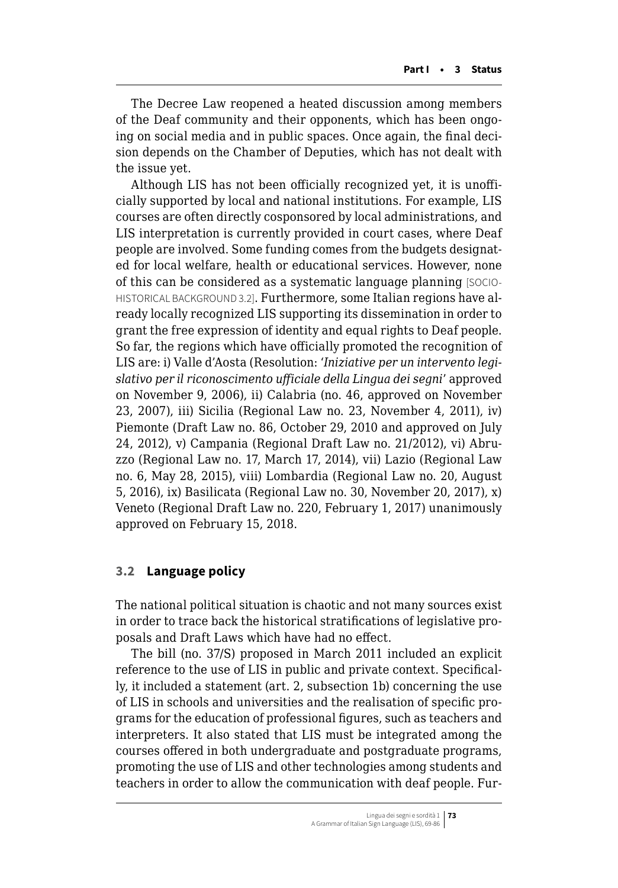<span id="page-4-0"></span>The Decree Law reopened a heated discussion among members of the Deaf community and their opponents, which has been ongoing on social media and in public spaces. Once again, the final decision depends on the Chamber of Deputies, which has not dealt with the issue yet.

Although LIS has not been officially recognized yet, it is unofficially supported by local and national institutions. For example, LIS courses are often directly cosponsored by local administrations, and LIS interpretation is currently provided in court cases, where Deaf people are involved. Some funding comes from the budgets designated for local welfare, health or educational services. However, none of this can be considered as a systematic language planning [SOCIO-HISTORICAL BACKGROUND 3.2]. Furthermore, some Italian regions have already locally recognized LIS supporting its dissemination in order to grant the free expression of identity and equal rights to Deaf people. So far, the regions which have officially promoted the recognition of LIS are: i) Valle d'Aosta (Resolution: '*Iniziative per un intervento legislativo per il riconoscimento ufficiale della Lingua dei segni*' approved on November 9, 2006), ii) Calabria (no. 46, approved on November 23, 2007), iii) Sicilia (Regional Law no. 23, November 4, 2011), iv) Piemonte (Draft Law no. 86, October 29, 2010 and approved on July 24, 2012), v) Campania (Regional Draft Law no. 21/2012), vi) Abruzzo (Regional Law no. 17, March 17, 2014), vii) Lazio (Regional Law no. 6, May 28, 2015), viii) Lombardia (Regional Law no. 20, August 5, 2016), ix) Basilicata (Regional Law no. 30, November 20, 2017), x) Veneto (Regional Draft Law no. 220, February 1, 2017) unanimously approved on February 15, 2018.

## **3.2 Language policy**

The national political situation is chaotic and not many sources exist in order to trace back the historical stratifications of legislative proposals and Draft Laws which have had no effect.

The bill (no. 37/S) proposed in March 2011 included an explicit reference to the use of LIS in public and private context. Specifically, it included a statement (art. 2, subsection 1b) concerning the use of LIS in schools and universities and the realisation of specific programs for the education of professional figures, such as teachers and interpreters. It also stated that LIS must be integrated among the courses offered in both undergraduate and postgraduate programs, promoting the use of LIS and other technologies among students and teachers in order to allow the communication with deaf people. Fur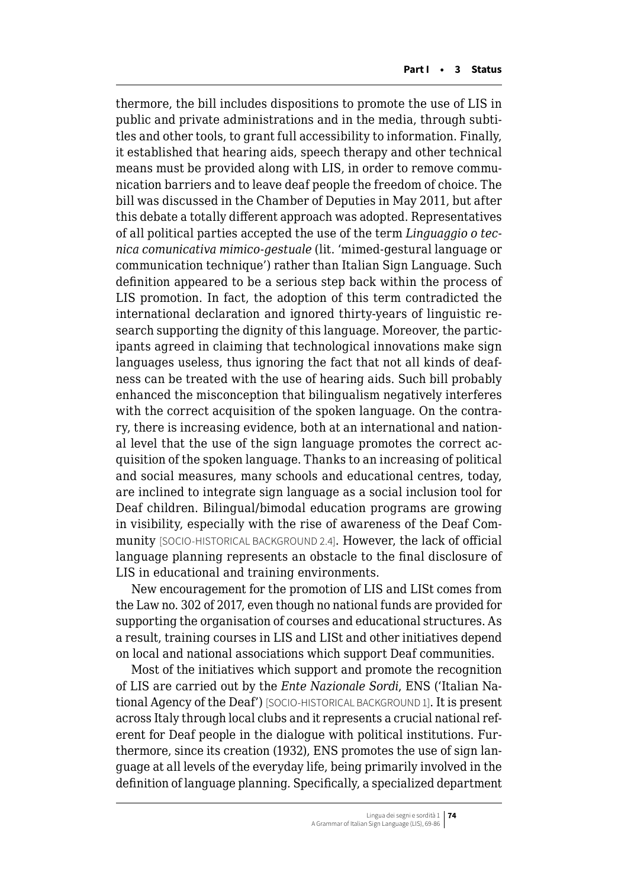thermore, the bill includes dispositions to promote the use of LIS in public and private administrations and in the media, through subtitles and other tools, to grant full accessibility to information. Finally, it established that hearing aids, speech therapy and other technical means must be provided along with LIS, in order to remove communication barriers and to leave deaf people the freedom of choice. The bill was discussed in the Chamber of Deputies in May 2011, but after this debate a totally different approach was adopted. Representatives of all political parties accepted the use of the term *Linguaggio o tecnica comunicativa mimico-gestuale* (lit. 'mimed-gestural language or communication technique') rather than Italian Sign Language. Such definition appeared to be a serious step back within the process of LIS promotion. In fact, the adoption of this term contradicted the international declaration and ignored thirty-years of linguistic research supporting the dignity of this language. Moreover, the participants agreed in claiming that technological innovations make sign languages useless, thus ignoring the fact that not all kinds of deafness can be treated with the use of hearing aids. Such bill probably enhanced the misconception that bilingualism negatively interferes with the correct acquisition of the spoken language. On the contrary, there is increasing evidence, both at an international and national level that the use of the sign language promotes the correct acquisition of the spoken language. Thanks to an increasing of political and social measures, many schools and educational centres, today, are inclined to integrate sign language as a social inclusion tool for Deaf children. Bilingual/bimodal education programs are growing in visibility, especially with the rise of awareness of the Deaf Community [SOCIO-HISTORICAL BACKGROUND 2.4]. However, the lack of official language planning represents an obstacle to the final disclosure of LIS in educational and training environments.

New encouragement for the promotion of LIS and LISt comes from the Law no. 302 of 2017, even though no national funds are provided for supporting the organisation of courses and educational structures. As a result, training courses in LIS and LISt and other initiatives depend on local and national associations which support Deaf communities.

Most of the initiatives which support and promote the recognition of LIS are carried out by the *Ente Nazionale Sordi*, ENS ('Italian National Agency of the Deaf') [SOCIO-HISTORICAL BACKGROUND 1]. It is present across Italy through local clubs and it represents a crucial national referent for Deaf people in the dialogue with political institutions. Furthermore, since its creation (1932), ENS promotes the use of sign language at all levels of the everyday life, being primarily involved in the definition of language planning. Specifically, a specialized department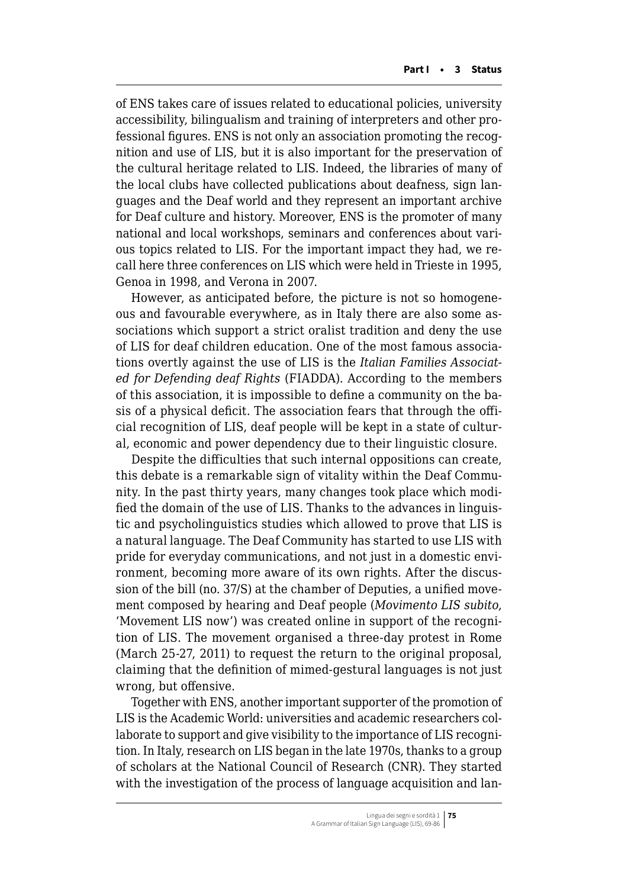of ENS takes care of issues related to educational policies, university accessibility, bilingualism and training of interpreters and other professional figures. ENS is not only an association promoting the recognition and use of LIS, but it is also important for the preservation of the cultural heritage related to LIS. Indeed, the libraries of many of the local clubs have collected publications about deafness, sign languages and the Deaf world and they represent an important archive for Deaf culture and history. Moreover, ENS is the promoter of many national and local workshops, seminars and conferences about various topics related to LIS. For the important impact they had, we recall here three conferences on LIS which were held in Trieste in 1995, Genoa in 1998, and Verona in 2007.

However, as anticipated before, the picture is not so homogeneous and favourable everywhere, as in Italy there are also some associations which support a strict oralist tradition and deny the use of LIS for deaf children education. One of the most famous associations overtly against the use of LIS is the *Italian Families Associated for Defending deaf Rights* (FIADDA). According to the members of this association, it is impossible to define a community on the basis of a physical deficit. The association fears that through the official recognition of LIS, deaf people will be kept in a state of cultural, economic and power dependency due to their linguistic closure.

Despite the difficulties that such internal oppositions can create, this debate is a remarkable sign of vitality within the Deaf Community. In the past thirty years, many changes took place which modified the domain of the use of LIS. Thanks to the advances in linguistic and psycholinguistics studies which allowed to prove that LIS is a natural language. The Deaf Community has started to use LIS with pride for everyday communications, and not just in a domestic environment, becoming more aware of its own rights. After the discussion of the bill (no. 37/S) at the chamber of Deputies, a unified movement composed by hearing and Deaf people (*Movimento LIS subito*, 'Movement LIS now') was created online in support of the recognition of LIS. The movement organised a three-day protest in Rome (March 25-27, 2011) to request the return to the original proposal, claiming that the definition of mimed-gestural languages is not just wrong, but offensive.

Together with ENS, another important supporter of the promotion of LIS is the Academic World: universities and academic researchers collaborate to support and give visibility to the importance of LIS recognition. In Italy, research on LIS began in the late 1970s, thanks to a group of scholars at the National Council of Research (CNR). They started with the investigation of the process of language acquisition and lan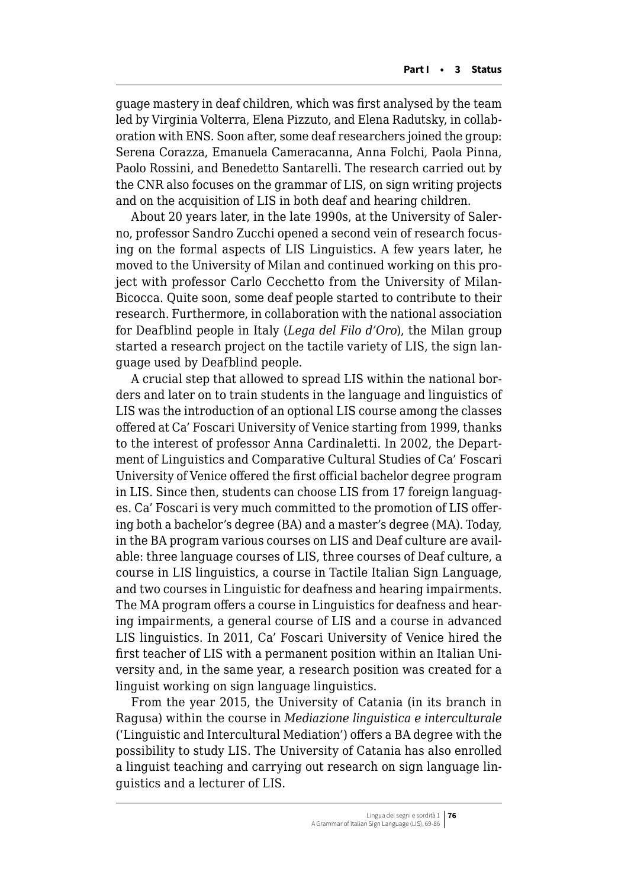guage mastery in deaf children, which was first analysed by the team led by Virginia Volterra, Elena Pizzuto, and Elena Radutsky, in collaboration with ENS. Soon after, some deaf researchers joined the group: Serena Corazza, Emanuela Cameracanna, Anna Folchi, Paola Pinna, Paolo Rossini, and Benedetto Santarelli. The research carried out by the CNR also focuses on the grammar of LIS, on sign writing projects and on the acquisition of LIS in both deaf and hearing children.

About 20 years later, in the late 1990s, at the University of Salerno, professor Sandro Zucchi opened a second vein of research focusing on the formal aspects of LIS Linguistics. A few years later, he moved to the University of Milan and continued working on this project with professor Carlo Cecchetto from the University of Milan-Bicocca. Quite soon, some deaf people started to contribute to their research. Furthermore, in collaboration with the national association for Deafblind people in Italy (*Lega del Filo d'Oro*), the Milan group started a research project on the tactile variety of LIS, the sign language used by Deafblind people.

A crucial step that allowed to spread LIS within the national borders and later on to train students in the language and linguistics of LIS was the introduction of an optional LIS course among the classes offered at Ca' Foscari University of Venice starting from 1999, thanks to the interest of professor Anna Cardinaletti. In 2002, the Department of Linguistics and Comparative Cultural Studies of Ca' Foscari University of Venice offered the first official bachelor degree program in LIS. Since then, students can choose LIS from 17 foreign languages. Ca' Foscari is very much committed to the promotion of LIS offering both a bachelor's degree (BA) and a master's degree (MA). Today, in the BA program various courses on LIS and Deaf culture are available: three language courses of LIS, three courses of Deaf culture, a course in LIS linguistics, a course in Tactile Italian Sign Language, and two courses in Linguistic for deafness and hearing impairments. The MA program offers a course in Linguistics for deafness and hearing impairments, a general course of LIS and a course in advanced LIS linguistics. In 2011, Ca' Foscari University of Venice hired the first teacher of LIS with a permanent position within an Italian University and, in the same year, a research position was created for a linguist working on sign language linguistics.

From the year 2015, the University of Catania (in its branch in Ragusa) within the course in *Mediazione linguistica e interculturale* ('Linguistic and Intercultural Mediation') offers a BA degree with the possibility to study LIS. The University of Catania has also enrolled a linguist teaching and carrying out research on sign language linguistics and a lecturer of LIS.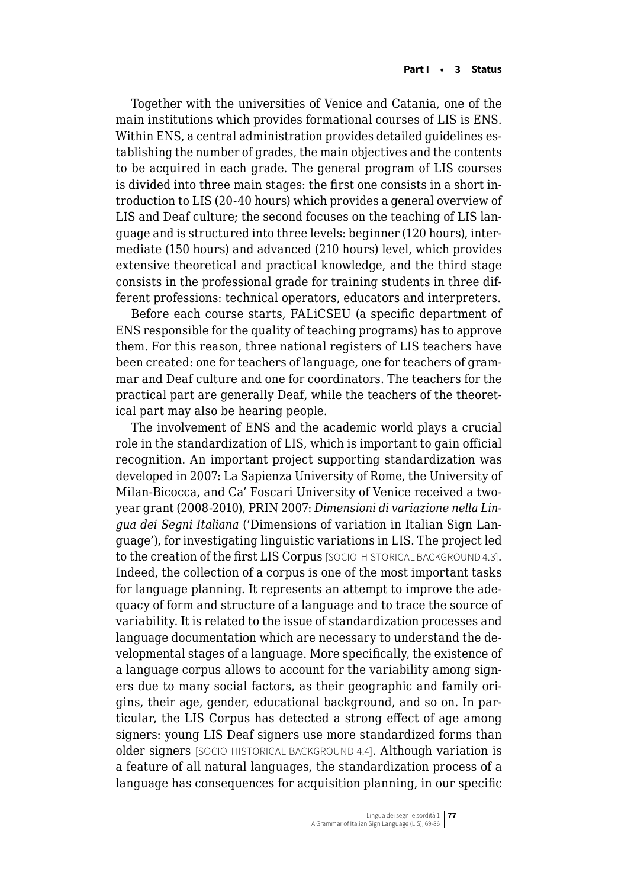Together with the universities of Venice and Catania, one of the main institutions which provides formational courses of LIS is ENS. Within ENS, a central administration provides detailed guidelines establishing the number of grades, the main objectives and the contents to be acquired in each grade. The general program of LIS courses is divided into three main stages: the first one consists in a short introduction to LIS (20-40 hours) which provides a general overview of LIS and Deaf culture; the second focuses on the teaching of LIS language and is structured into three levels: beginner (120 hours), intermediate (150 hours) and advanced (210 hours) level, which provides extensive theoretical and practical knowledge, and the third stage consists in the professional grade for training students in three different professions: technical operators, educators and interpreters.

Before each course starts, FALiCSEU (a specific department of ENS responsible for the quality of teaching programs) has to approve them. For this reason, three national registers of LIS teachers have been created: one for teachers of language, one for teachers of grammar and Deaf culture and one for coordinators. The teachers for the practical part are generally Deaf, while the teachers of the theoretical part may also be hearing people.

The involvement of ENS and the academic world plays a crucial role in the standardization of LIS, which is important to gain official recognition. An important project supporting standardization was developed in 2007: La Sapienza University of Rome, the University of Milan-Bicocca, and Ca' Foscari University of Venice received a twoyear grant (2008-2010), PRIN 2007: *Dimensioni di variazione nella Lingua dei Segni Italiana* ('Dimensions of variation in Italian Sign Language'), for investigating linguistic variations in LIS. The project led to the creation of the first LIS Corpus [SOCIO-HISTORICAL BACKGROUND 4.3]. Indeed, the collection of a corpus is one of the most important tasks for language planning. It represents an attempt to improve the adequacy of form and structure of a language and to trace the source of variability. It is related to the issue of standardization processes and language documentation which are necessary to understand the developmental stages of a language. More specifically, the existence of a language corpus allows to account for the variability among signers due to many social factors, as their geographic and family origins, their age, gender, educational background, and so on. In particular, the LIS Corpus has detected a strong effect of age among signers: young LIS Deaf signers use more standardized forms than older signers [SOCIO-HISTORICAL BACKGROUND 4.4]. Although variation is a feature of all natural languages, the standardization process of a language has consequences for acquisition planning, in our specific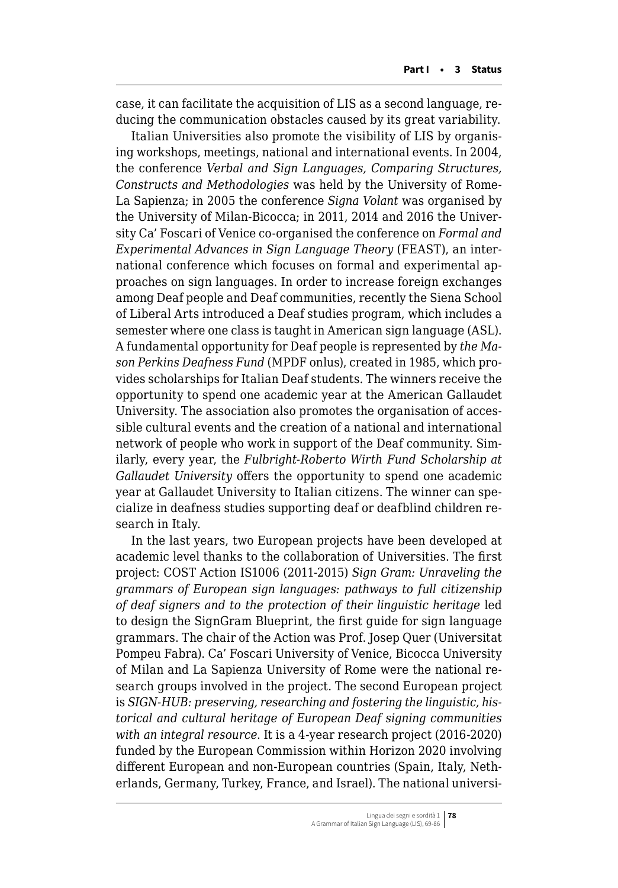case, it can facilitate the acquisition of LIS as a second language, reducing the communication obstacles caused by its great variability.

Italian Universities also promote the visibility of LIS by organising workshops, meetings, national and international events. In 2004, the conference *Verbal and Sign Languages, Comparing Structures, Constructs and Methodologies* was held by the University of Rome-La Sapienza; in 2005 the conference *Signa Volant* was organised by the University of Milan-Bicocca; in 2011, 2014 and 2016 the University Ca' Foscari of Venice co-organised the conference on *Formal and Experimental Advances in Sign Language Theory* (FEAST), an international conference which focuses on formal and experimental approaches on sign languages. In order to increase foreign exchanges among Deaf people and Deaf communities, recently the Siena School of Liberal Arts introduced a Deaf studies program, which includes a semester where one class is taught in American sign language (ASL). A fundamental opportunity for Deaf people is represented by *the Mason Perkins Deafness Fund* (MPDF onlus), created in 1985, which provides scholarships for Italian Deaf students. The winners receive the opportunity to spend one academic year at the American Gallaudet University. The association also promotes the organisation of accessible cultural events and the creation of a national and international network of people who work in support of the Deaf community. Similarly, every year, the *Fulbright-Roberto Wirth Fund Scholarship at Gallaudet University* offers the opportunity to spend one academic year at Gallaudet University to Italian citizens. The winner can specialize in deafness studies supporting deaf or deafblind children research in Italy.

In the last years, two European projects have been developed at academic level thanks to the collaboration of Universities. The first project: COST Action IS1006 (2011-2015) *Sign Gram: Unraveling the grammars of European sign languages: pathways to full citizenship of deaf signers and to the protection of their linguistic heritage* led to design the SignGram Blueprint, the first guide for sign language grammars. The chair of the Action was Prof. Josep Quer (Universitat Pompeu Fabra). Ca' Foscari University of Venice, Bicocca University of Milan and La Sapienza University of Rome were the national research groups involved in the project. The second European project is *SIGN-HUB: preserving, researching and fostering the linguistic, historical and cultural heritage of European Deaf signing communities with an integral resource*. It is a 4-year research project (2016-2020) funded by the European Commission within Horizon 2020 involving different European and non-European countries (Spain, Italy, Netherlands, Germany, Turkey, France, and Israel). The national universi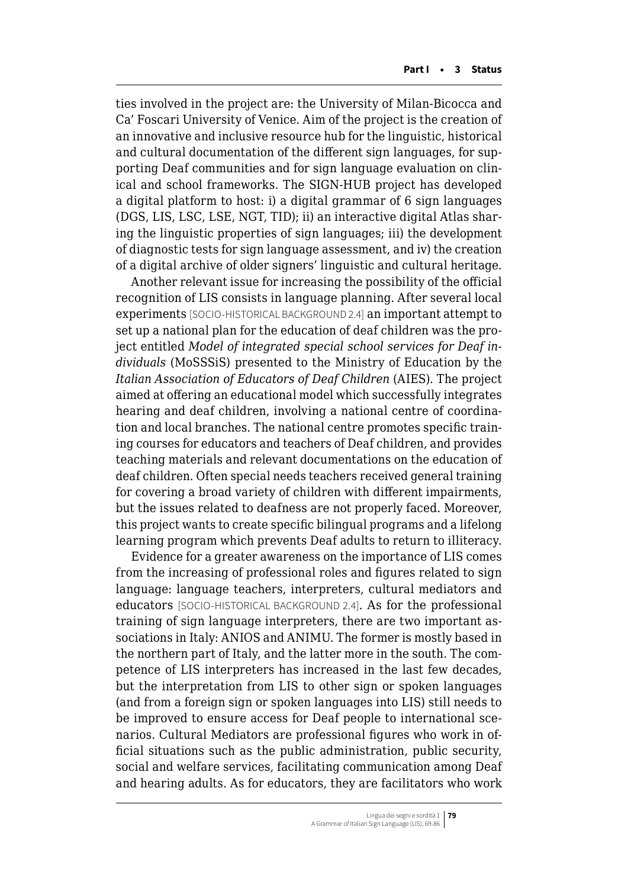ties involved in the project are: the University of Milan-Bicocca and Ca' Foscari University of Venice. Aim of the project is the creation of an innovative and inclusive resource hub for the linguistic, historical and cultural documentation of the different sign languages, for supporting Deaf communities and for sign language evaluation on clinical and school frameworks. The SIGN-HUB project has developed a digital platform to host: i) a digital grammar of 6 sign languages (DGS, LIS, LSC, LSE, NGT, TID); ii) an interactive digital Atlas sharing the linguistic properties of sign languages; iii) the development of diagnostic tests for sign language assessment, and iv) the creation of a digital archive of older signers' linguistic and cultural heritage.

Another relevant issue for increasing the possibility of the official recognition of LIS consists in language planning. After several local experiments [SOCIO-HISTORICAL BACKGROUND 2.4] an important attempt to set up a national plan for the education of deaf children was the project entitled *Model of integrated special school services for Deaf individuals* (MoSSSiS) presented to the Ministry of Education by the *Italian Association of Educators of Deaf Children* (AIES). The project aimed at offering an educational model which successfully integrates hearing and deaf children, involving a national centre of coordination and local branches. The national centre promotes specific training courses for educators and teachers of Deaf children, and provides teaching materials and relevant documentations on the education of deaf children. Often special needs teachers received general training for covering a broad variety of children with different impairments, but the issues related to deafness are not properly faced. Moreover, this project wants to create specific bilingual programs and a lifelong learning program which prevents Deaf adults to return to illiteracy.

Evidence for a greater awareness on the importance of LIS comes from the increasing of professional roles and figures related to sign language: language teachers, interpreters, cultural mediators and educators [SOCIO-HISTORICAL BACKGROUND 2.4]. As for the professional training of sign language interpreters, there are two important associations in Italy: ANIOS and ANIMU. The former is mostly based in the northern part of Italy, and the latter more in the south. The competence of LIS interpreters has increased in the last few decades, but the interpretation from LIS to other sign or spoken languages (and from a foreign sign or spoken languages into LIS) still needs to be improved to ensure access for Deaf people to international scenarios. Cultural Mediators are professional figures who work in official situations such as the public administration, public security, social and welfare services, facilitating communication among Deaf and hearing adults. As for educators, they are facilitators who work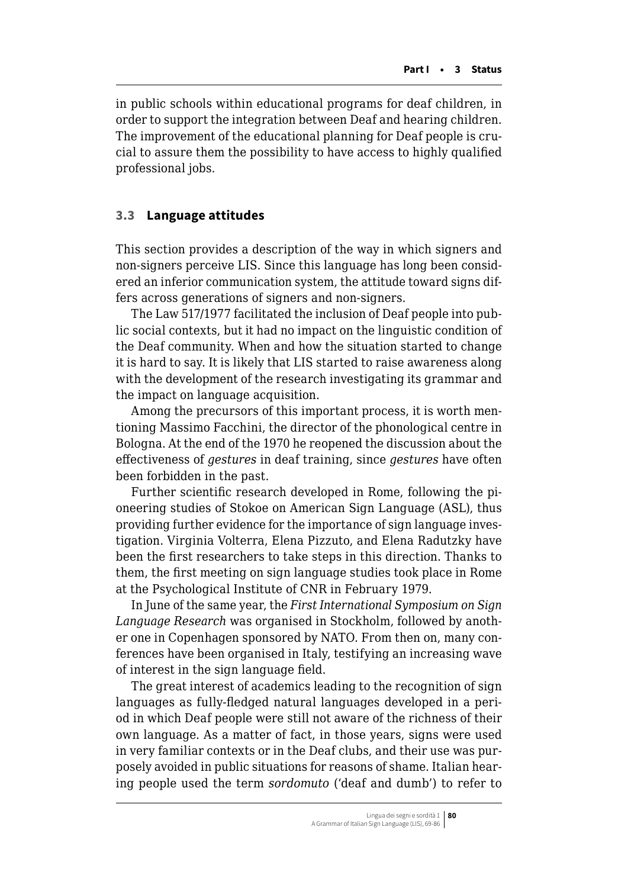<span id="page-11-0"></span>in public schools within educational programs for deaf children, in order to support the integration between Deaf and hearing children. The improvement of the educational planning for Deaf people is crucial to assure them the possibility to have access to highly qualified professional jobs.

## **3.3 Language attitudes**

This section provides a description of the way in which signers and non-signers perceive LIS. Since this language has long been considered an inferior communication system, the attitude toward signs differs across generations of signers and non-signers.

The Law 517/1977 facilitated the inclusion of Deaf people into public social contexts, but it had no impact on the linguistic condition of the Deaf community. When and how the situation started to change it is hard to say. It is likely that LIS started to raise awareness along with the development of the research investigating its grammar and the impact on language acquisition.

Among the precursors of this important process, it is worth mentioning Massimo Facchini, the director of the phonological centre in Bologna. At the end of the 1970 he reopened the discussion about the effectiveness of *gestures* in deaf training, since *gestures* have often been forbidden in the past.

Further scientific research developed in Rome, following the pioneering studies of Stokoe on American Sign Language (ASL), thus providing further evidence for the importance of sign language investigation. Virginia Volterra, Elena Pizzuto, and Elena Radutzky have been the first researchers to take steps in this direction. Thanks to them, the first meeting on sign language studies took place in Rome at the Psychological Institute of CNR in February 1979.

In June of the same year, the *First International Symposium on Sign Language Research* was organised in Stockholm, followed by another one in Copenhagen sponsored by NATO. From then on, many conferences have been organised in Italy, testifying an increasing wave of interest in the sign language field.

The great interest of academics leading to the recognition of sign languages as fully-fledged natural languages developed in a period in which Deaf people were still not aware of the richness of their own language. As a matter of fact, in those years, signs were used in very familiar contexts or in the Deaf clubs, and their use was purposely avoided in public situations for reasons of shame. Italian hearing people used the term *sordomuto* ('deaf and dumb') to refer to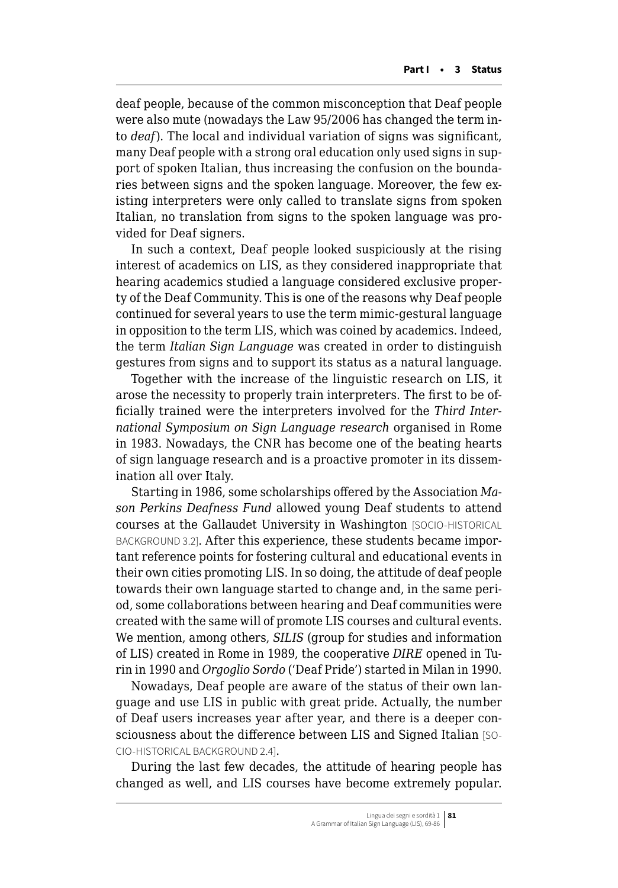deaf people, because of the common misconception that Deaf people were also mute (nowadays the Law 95/2006 has changed the term into *deaf*). The local and individual variation of signs was significant, many Deaf people with a strong oral education only used signs in support of spoken Italian, thus increasing the confusion on the boundaries between signs and the spoken language. Moreover, the few existing interpreters were only called to translate signs from spoken Italian, no translation from signs to the spoken language was provided for Deaf signers.

In such a context, Deaf people looked suspiciously at the rising interest of academics on LIS, as they considered inappropriate that hearing academics studied a language considered exclusive property of the Deaf Community. This is one of the reasons why Deaf people continued for several years to use the term mimic-gestural language in opposition to the term LIS, which was coined by academics. Indeed, the term *Italian Sign Language* was created in order to distinguish gestures from signs and to support its status as a natural language.

Together with the increase of the linguistic research on LIS, it arose the necessity to properly train interpreters. The first to be officially trained were the interpreters involved for the *Third International Symposium on Sign Language research* organised in Rome in 1983. Nowadays, the CNR has become one of the beating hearts of sign language research and is a proactive promoter in its dissemination all over Italy.

Starting in 1986, some scholarships offered by the Association *Mason Perkins Deafness Fund* allowed young Deaf students to attend courses at the Gallaudet University in Washington [SOCIO-HISTORICAL BACKGROUND 3.2]. After this experience, these students became important reference points for fostering cultural and educational events in their own cities promoting LIS. In so doing, the attitude of deaf people towards their own language started to change and, in the same period, some collaborations between hearing and Deaf communities were created with the same will of promote LIS courses and cultural events. We mention, among others, *SILIS* (group for studies and information of LIS) created in Rome in 1989, the cooperative *DIRE* opened in Turin in 1990 and *Orgoglio Sordo* ('Deaf Pride') started in Milan in 1990.

Nowadays, Deaf people are aware of the status of their own language and use LIS in public with great pride. Actually, the number of Deaf users increases year after year, and there is a deeper consciousness about the difference between LIS and Signed Italian [SO-CIO-HISTORICAL BACKGROUND 2.4].

During the last few decades, the attitude of hearing people has changed as well, and LIS courses have become extremely popular.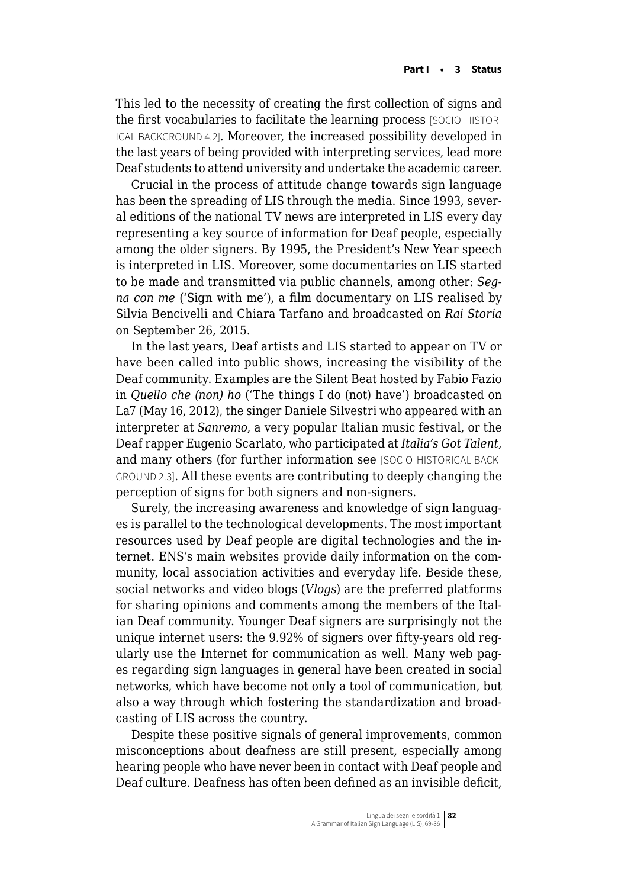This led to the necessity of creating the first collection of signs and the first vocabularies to facilitate the learning process [SOCIO-HISTOR-ICAL BACKGROUND 4.2]. Moreover, the increased possibility developed in the last years of being provided with interpreting services, lead more Deaf students to attend university and undertake the academic career.

Crucial in the process of attitude change towards sign language has been the spreading of LIS through the media. Since 1993, several editions of the national TV news are interpreted in LIS every day representing a key source of information for Deaf people, especially among the older signers. By 1995, the President's New Year speech is interpreted in LIS. Moreover, some documentaries on LIS started to be made and transmitted via public channels, among other: *Segna con me* ('Sign with me'), a film documentary on LIS realised by Silvia Bencivelli and Chiara Tarfano and broadcasted on *Rai Storia* on September 26, 2015.

In the last years, Deaf artists and LIS started to appear on TV or have been called into public shows, increasing the visibility of the Deaf community. Examples are the Silent Beat hosted by Fabio Fazio in *Quello che (non) ho* ('The things I do (not) have') broadcasted on La7 (May 16, 2012), the singer Daniele Silvestri who appeared with an interpreter at *Sanremo*, a very popular Italian music festival, or the Deaf rapper Eugenio Scarlato, who participated at *Italia's Got Talent*, and many others (for further information see [SOCIO-HISTORICAL BACK-GROUND 2.3]. All these events are contributing to deeply changing the perception of signs for both signers and non-signers.

Surely, the increasing awareness and knowledge of sign languages is parallel to the technological developments. The most important resources used by Deaf people are digital technologies and the internet. ENS's main websites provide daily information on the community, local association activities and everyday life. Beside these, social networks and video blogs (*Vlogs*) are the preferred platforms for sharing opinions and comments among the members of the Italian Deaf community. Younger Deaf signers are surprisingly not the unique internet users: the 9.92% of signers over fifty-years old regularly use the Internet for communication as well. Many web pages regarding sign languages in general have been created in social networks, which have become not only a tool of communication, but also a way through which fostering the standardization and broadcasting of LIS across the country.

Despite these positive signals of general improvements, common misconceptions about deafness are still present, especially among hearing people who have never been in contact with Deaf people and Deaf culture. Deafness has often been defined as an invisible deficit,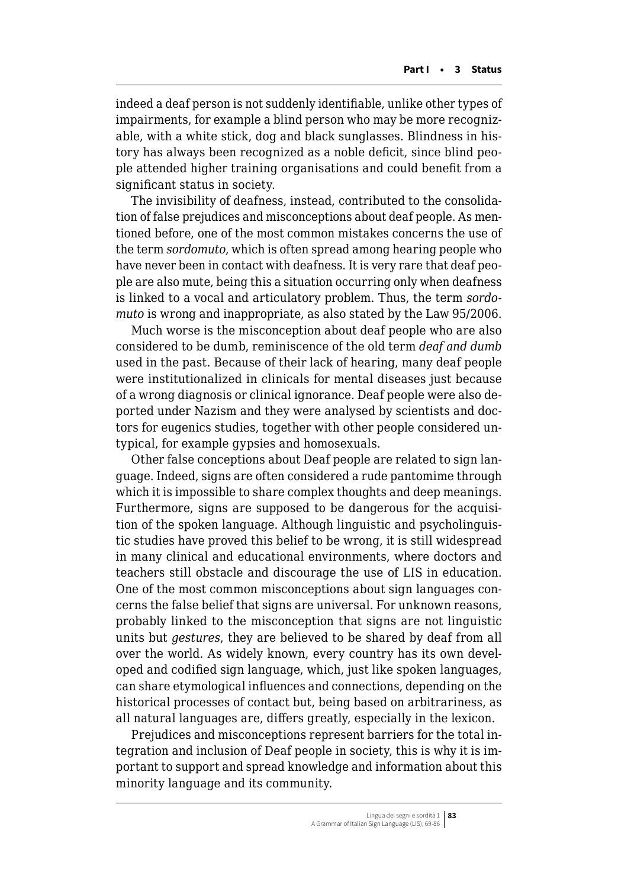indeed a deaf person is not suddenly identifiable, unlike other types of impairments, for example a blind person who may be more recognizable, with a white stick, dog and black sunglasses. Blindness in history has always been recognized as a noble deficit, since blind people attended higher training organisations and could benefit from a significant status in society.

The invisibility of deafness, instead, contributed to the consolidation of false prejudices and misconceptions about deaf people. As mentioned before, one of the most common mistakes concerns the use of the term *sordomuto*, which is often spread among hearing people who have never been in contact with deafness. It is very rare that deaf people are also mute, being this a situation occurring only when deafness is linked to a vocal and articulatory problem. Thus, the term *sordomuto* is wrong and inappropriate, as also stated by the Law 95/2006.

Much worse is the misconception about deaf people who are also considered to be dumb, reminiscence of the old term *deaf and dumb* used in the past. Because of their lack of hearing, many deaf people were institutionalized in clinicals for mental diseases just because of a wrong diagnosis or clinical ignorance. Deaf people were also deported under Nazism and they were analysed by scientists and doctors for eugenics studies, together with other people considered untypical, for example gypsies and homosexuals.

Other false conceptions about Deaf people are related to sign language. Indeed, signs are often considered a rude pantomime through which it is impossible to share complex thoughts and deep meanings. Furthermore, signs are supposed to be dangerous for the acquisition of the spoken language. Although linguistic and psycholinguistic studies have proved this belief to be wrong, it is still widespread in many clinical and educational environments, where doctors and teachers still obstacle and discourage the use of LIS in education. One of the most common misconceptions about sign languages concerns the false belief that signs are universal. For unknown reasons, probably linked to the misconception that signs are not linguistic units but *gestures*, they are believed to be shared by deaf from all over the world. As widely known, every country has its own developed and codified sign language, which, just like spoken languages, can share etymological influences and connections, depending on the historical processes of contact but, being based on arbitrariness, as all natural languages are, differs greatly, especially in the lexicon.

Prejudices and misconceptions represent barriers for the total integration and inclusion of Deaf people in society, this is why it is important to support and spread knowledge and information about this minority language and its community.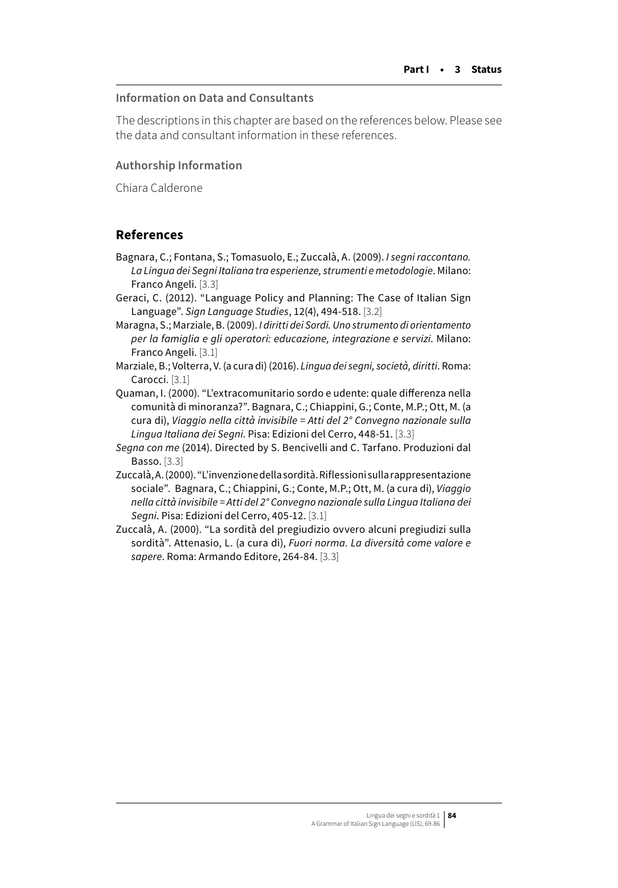#### **Information on Data and Consultants**

The descriptions in this chapter are based on the references below. Please see the data and consultant information in these references.

### **Authorship Information**

Chiara Calderone

## **References**

- Bagnara, C.; Fontana, S.; Tomasuolo, E.; Zuccalà, A. (2009). *I segni raccontano. La Lingua dei Segni Italiana tra esperienze, strumenti e metodologie*. Milano: Franco Angeli. [3.3]
- Geraci, C. (2012). "Language Policy and Planning: The Case of Italian Sign Language". *Sign Language Studies*, 12(4), 494-518. [3.2]
- Maragna, S.; Marziale, B. (2009). *I diritti dei Sordi. Uno strumento di orientamento per la famiglia e gli operatori: educazione, integrazione e servizi*. Milano: Franco Angeli. [3.1]
- Marziale, B.; Volterra, V. (a cura di) (2016). *Lingua dei segni, società, diritti*. Roma: Carocci. [3.1]
- Quaman, I. (2000). "L'extracomunitario sordo e udente: quale differenza nella comunità di minoranza?". Bagnara, C.; Chiappini, G.; Conte, M.P.; Ott, M. (a cura di), *Viaggio nella città invisibile = Atti del 2° Convegno nazionale sulla Lingua Italiana dei Segni*. Pisa: Edizioni del Cerro, 448-51. [3.3]
- *Segna con me* (2014). Directed by S. Bencivelli and C. Tarfano. Produzioni dal Basso. [3.3]
- Zuccalà, A. (2000). "L'invenzione della sordità. Riflessioni sulla rappresentazione sociale". Bagnara, C.; Chiappini, G.; Conte, M.P.; Ott, M. (a cura di), *Viaggio nella città invisibile = Atti del 2° Convegno nazionale sulla Lingua Italiana dei Segni*. Pisa: Edizioni del Cerro, 405-12. [3.1]
- Zuccalà, A. (2000). "La sordità del pregiudizio ovvero alcuni pregiudizi sulla sordità". Attenasio, L. (a cura di), *Fuori norma. La diversità come valore e sapere*. Roma: Armando Editore, 264-84. [3.3]